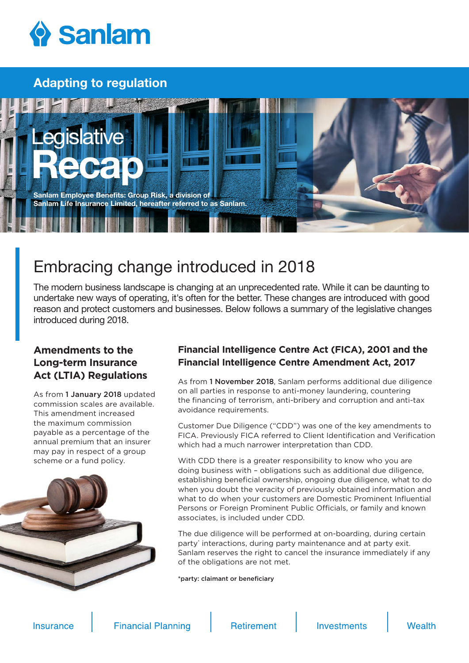

## Adapting to regulation



# Embracing change introduced in 2018

The modern business landscape is changing at an unprecedented rate. While it can be daunting to undertake new ways of operating, it's often for the better. These changes are introduced with good reason and protect customers and businesses. Below follows a summary of the legislative changes introduced during 2018.

### **Amendments to the Long-term Insurance Act (LTIA) Regulations**

As from 1 January 2018 updated commission scales are available. This amendment increased the maximum commission payable as a percentage of the annual premium that an insurer may pay in respect of a group scheme or a fund policy.



#### **Financial Intelligence Centre Act (FICA), 2001 and the Financial Intelligence Centre Amendment Act, 2017**

As from 1 November 2018, Sanlam performs additional due diligence on all parties in response to anti-money laundering, countering the financing of terrorism, anti-bribery and corruption and anti-tax avoidance requirements.

Customer Due Diligence ("CDD") was one of the key amendments to FICA. Previously FICA referred to Client Identification and Verification which had a much narrower interpretation than CDD.

With CDD there is a greater responsibility to know who you are doing business with – obligations such as additional due diligence, establishing beneficial ownership, ongoing due diligence, what to do when you doubt the veracity of previously obtained information and what to do when your customers are Domestic Prominent Influential Persons or Foreign Prominent Public Officials, or family and known associates, is included under CDD.

The due diligence will be performed at on-boarding, during certain party' interactions, during party maintenance and at party exit. Sanlam reserves the right to cancel the insurance immediately if any of the obligations are not met.

\*party: claimant or beneficiary

**Insurance** 

**Financial Planning** 

**Retirement**